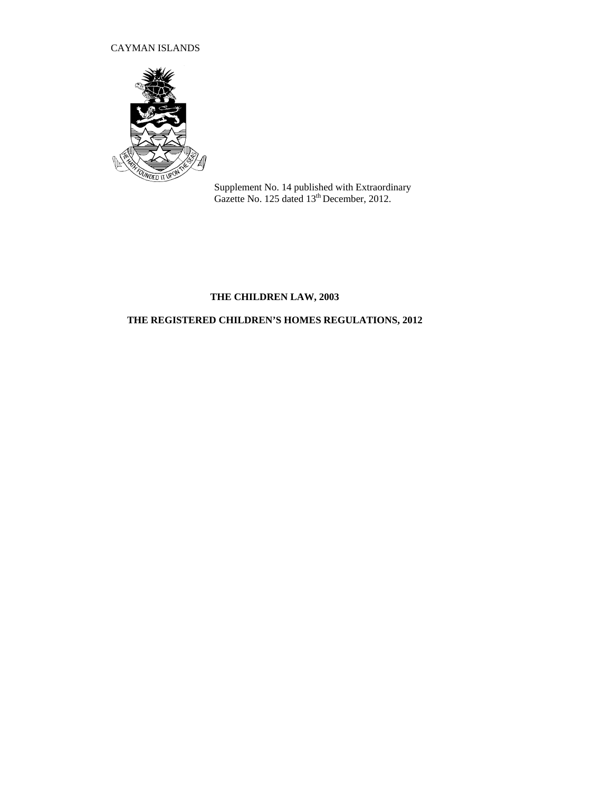# CAYMAN ISLANDS



Supplement No. 14 published with Extraordinary Gazette No. 125 dated 13<sup>th</sup> December, 2012.

# **THE CHILDREN LAW, 2003**

# **THE REGISTERED CHILDREN'S HOMES REGULATIONS, 2012**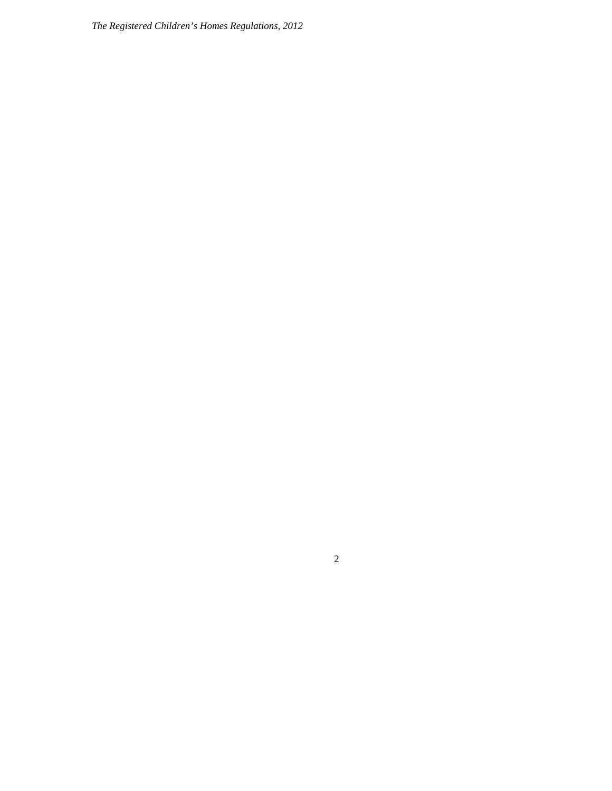*The Registered Children's Homes Regulations, 2012*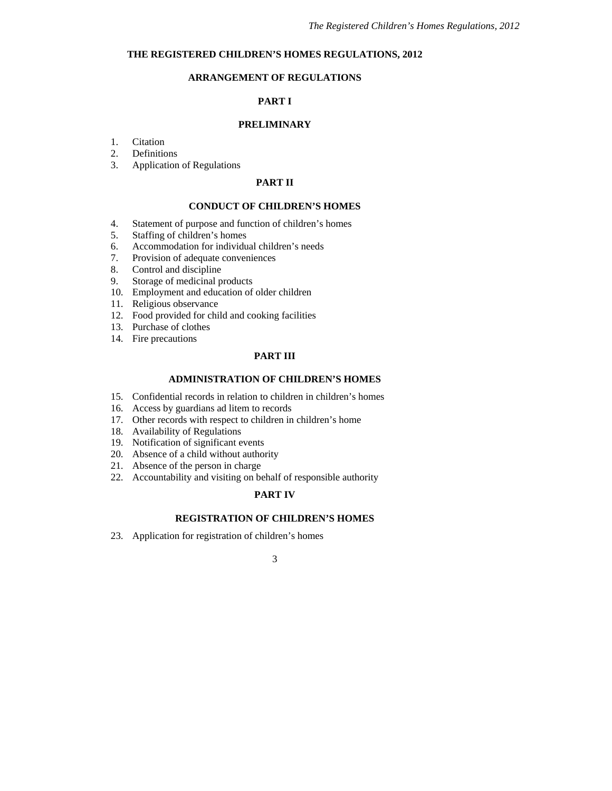## **THE REGISTERED CHILDREN'S HOMES REGULATIONS, 2012**

# **ARRANGEMENT OF REGULATIONS**

# **PART I**

### **PRELIMINARY**

- 1. Citation
- 2. Definitions
- 3. Application of Regulations

## **PART II**

### **CONDUCT OF CHILDREN'S HOMES**

- 4. Statement of purpose and function of children's homes
- 5. Staffing of children's homes
- 6. Accommodation for individual children's needs
- 7. Provision of adequate conveniences
- 8. Control and discipline
- 9. Storage of medicinal products
- 10. Employment and education of older children
- 11. Religious observance
- 12. Food provided for child and cooking facilities
- 13. Purchase of clothes
- 14. Fire precautions

### **PART III**

### **ADMINISTRATION OF CHILDREN'S HOMES**

- 15. Confidential records in relation to children in children's homes
- 16. Access by guardians ad litem to records
- 17. Other records with respect to children in children's home
- 18. Availability of Regulations
- 19. Notification of significant events
- 20. Absence of a child without authority
- 21. Absence of the person in charge
- 22. Accountability and visiting on behalf of responsible authority

# **PART IV**

# **REGISTRATION OF CHILDREN'S HOMES**

23. Application for registration of children's homes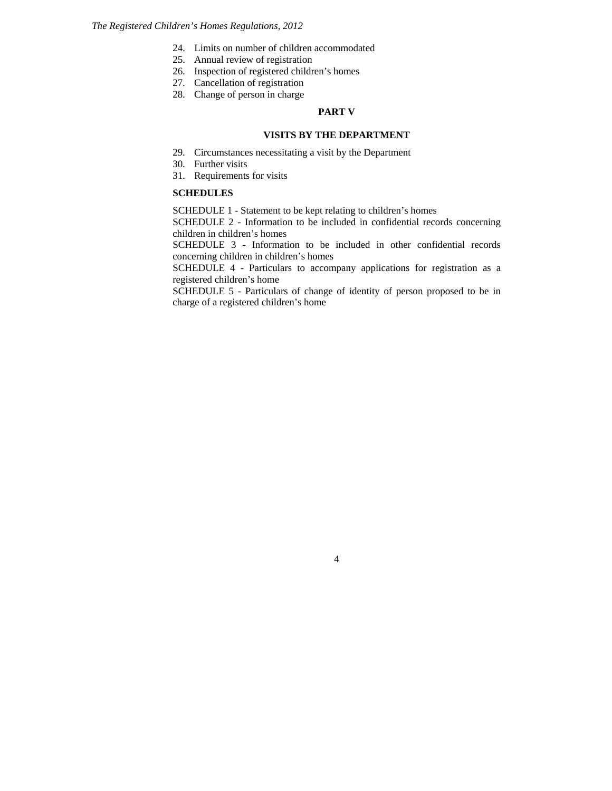- 24. Limits on number of children accommodated
- 25. Annual review of registration
- 26. Inspection of registered children's homes
- 27. Cancellation of registration
- 28. Change of person in charge

# **PART V**

### **VISITS BY THE DEPARTMENT**

- 29. Circumstances necessitating a visit by the Department
- 30. Further visits
- 31. Requirements for visits

# **SCHEDULES**

SCHEDULE 1 - Statement to be kept relating to children's homes

SCHEDULE 2 - Information to be included in confidential records concerning children in children's homes

SCHEDULE 3 - Information to be included in other confidential records concerning children in children's homes

SCHEDULE 4 - Particulars to accompany applications for registration as a registered children's home

SCHEDULE 5 - Particulars of change of identity of person proposed to be in charge of a registered children's home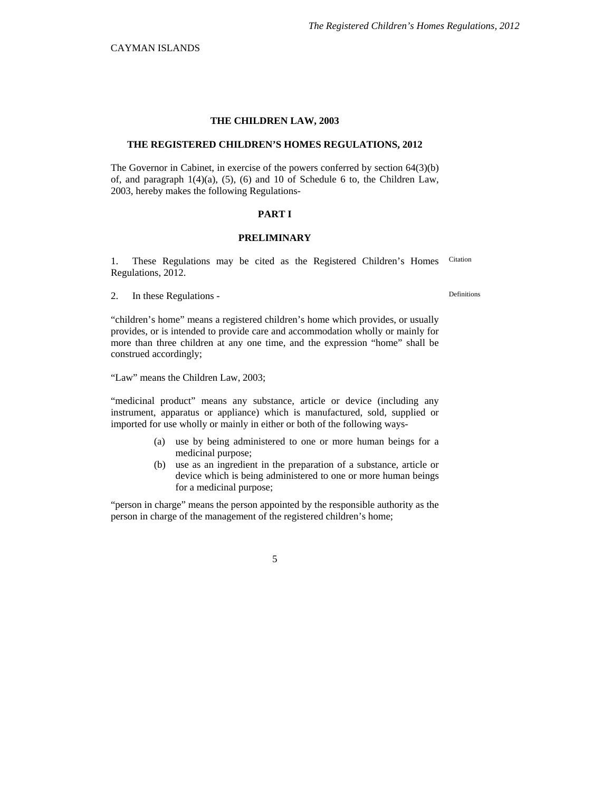#### **THE CHILDREN LAW, 2003**

### **THE REGISTERED CHILDREN'S HOMES REGULATIONS, 2012**

The Governor in Cabinet, in exercise of the powers conferred by section  $64(3)(b)$ of, and paragraph 1(4)(a), (5), (6) and 10 of Schedule 6 to, the Children Law, 2003, hereby makes the following Regulations-

### **PART I**

## **PRELIMINARY**

1. These Regulations may be cited as the Registered Children's Homes Regulations, 2012. Citation

2. In these Regulations - Definitions

"children's home" means a registered children's home which provides, or usually provides, or is intended to provide care and accommodation wholly or mainly for more than three children at any one time, and the expression "home" shall be construed accordingly;

"Law" means the Children Law, 2003;

"medicinal product" means any substance, article or device (including any instrument, apparatus or appliance) which is manufactured, sold, supplied or imported for use wholly or mainly in either or both of the following ways-

- (a) use by being administered to one or more human beings for a medicinal purpose;
- (b) use as an ingredient in the preparation of a substance, article or device which is being administered to one or more human beings for a medicinal purpose;

"person in charge" means the person appointed by the responsible authority as the person in charge of the management of the registered children's home;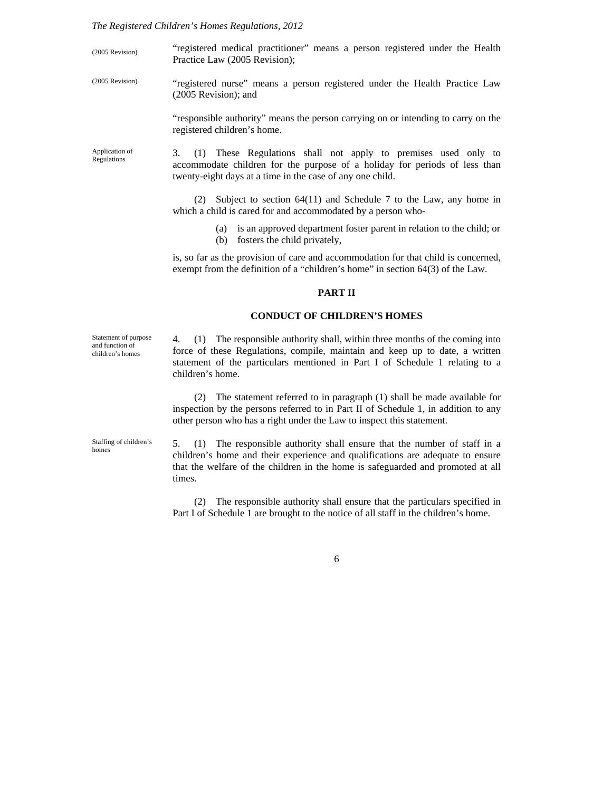#### *The Registered Children's Homes Regulations, 2012*

"registered medical practitioner" means a person registered under the Health Practice Law (2005 Revision); (2005 Revision)

"registered nurse" means a person registered under the Health Practice Law (2005 Revision); and (2005 Revision)

> "responsible authority" means the person carrying on or intending to carry on the registered children's home.

3. (1) These Regulations shall not apply to premises used only to accommodate children for the purpose of a holiday for periods of less than twenty-eight days at a time in the case of any one child. Application of Regulations

> (2) Subject to section 64(11) and Schedule 7 to the Law, any home in which a child is cared for and accommodated by a person who-

> > (a) is an approved department foster parent in relation to the child; or (b) fosters the child privately,

is, so far as the provision of care and accommodation for that child is concerned, exempt from the definition of a "children's home" in section 64(3) of the Law.

#### **PART II**

### **CONDUCT OF CHILDREN'S HOMES**

4. (1) The responsible authority shall, within three months of the coming into force of these Regulations, compile, maintain and keep up to date, a written statement of the particulars mentioned in Part I of Schedule 1 relating to a children's home.

(2) The statement referred to in paragraph (1) shall be made available for inspection by the persons referred to in Part II of Schedule 1, in addition to any other person who has a right under the Law to inspect this statement.

Staffing of children's homes

Statement of purpose and function of children's homes

> 5. (1) The responsible authority shall ensure that the number of staff in a children's home and their experience and qualifications are adequate to ensure that the welfare of the children in the home is safeguarded and promoted at all times.

> (2) The responsible authority shall ensure that the particulars specified in Part I of Schedule 1 are brought to the notice of all staff in the children's home.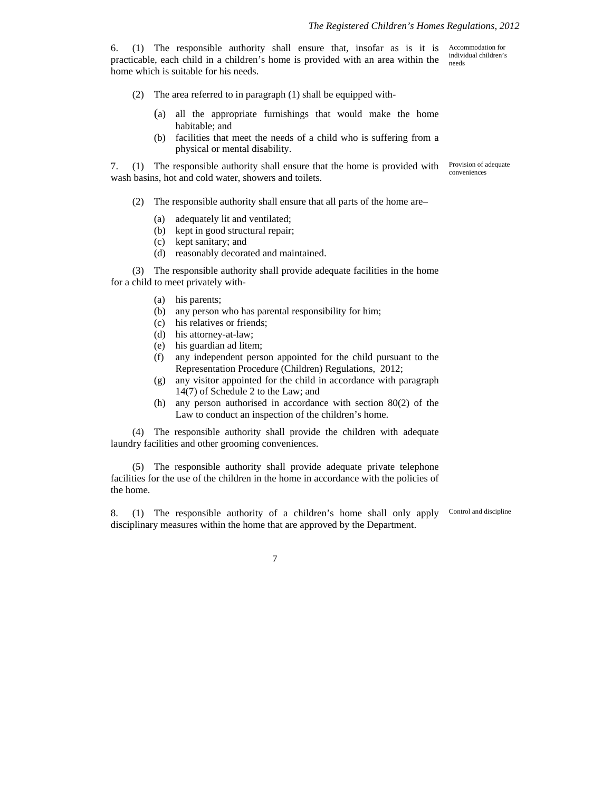6. (1) The responsible authority shall ensure that, insofar as is it is practicable, each child in a children's home is provided with an area within the home which is suitable for his needs. Accommodation for individual children's needs

(2) The area referred to in paragraph (1) shall be equipped with-

- (a) all the appropriate furnishings that would make the home habitable; and
- (b) facilities that meet the needs of a child who is suffering from a physical or mental disability.

7. (1) The responsible authority shall ensure that the home is provided with wash basins, hot and cold water, showers and toilets.

- (2) The responsible authority shall ensure that all parts of the home are–
	- (a) adequately lit and ventilated;
	- (b) kept in good structural repair;
	- (c) kept sanitary; and
	- (d) reasonably decorated and maintained.

(3) The responsible authority shall provide adequate facilities in the home for a child to meet privately with-

- (a) his parents;
- (b) any person who has parental responsibility for him;
- (c) his relatives or friends;
- (d) his attorney-at-law;
- (e) his guardian ad litem;
- (f) any independent person appointed for the child pursuant to the Representation Procedure (Children) Regulations, 2012;
- (g) any visitor appointed for the child in accordance with paragraph 14(7) of Schedule 2 to the Law; and
- (h) any person authorised in accordance with section 80(2) of the Law to conduct an inspection of the children's home.

(4) The responsible authority shall provide the children with adequate laundry facilities and other grooming conveniences.

(5) The responsible authority shall provide adequate private telephone facilities for the use of the children in the home in accordance with the policies of the home.

8. (1) The responsible authority of a children's home shall only apply disciplinary measures within the home that are approved by the Department.

Control and discipline

7

Provision of adequate conveniences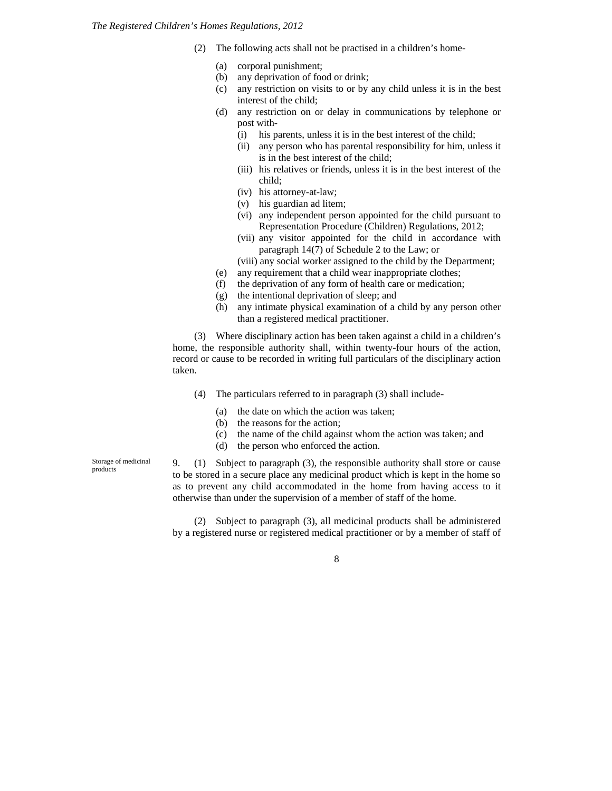- (2) The following acts shall not be practised in a children's home-
	- (a) corporal punishment;
	- (b) any deprivation of food or drink;
	- (c) any restriction on visits to or by any child unless it is in the best interest of the child;
	- (d) any restriction on or delay in communications by telephone or post with-
		- (i) his parents, unless it is in the best interest of the child;
		- (ii) any person who has parental responsibility for him, unless it is in the best interest of the child;
		- (iii) his relatives or friends, unless it is in the best interest of the child;
		- (iv) his attorney-at-law;
		- (v) his guardian ad litem;
		- (vi) any independent person appointed for the child pursuant to Representation Procedure (Children) Regulations, 2012;
		- (vii) any visitor appointed for the child in accordance with paragraph 14(7) of Schedule 2 to the Law; or
		- (viii) any social worker assigned to the child by the Department;
	- (e) any requirement that a child wear inappropriate clothes;
	- (f) the deprivation of any form of health care or medication;
	- (g) the intentional deprivation of sleep; and
	- (h) any intimate physical examination of a child by any person other than a registered medical practitioner.

(3) Where disciplinary action has been taken against a child in a children's home, the responsible authority shall, within twenty-four hours of the action, record or cause to be recorded in writing full particulars of the disciplinary action taken.

- (4) The particulars referred to in paragraph (3) shall include-
	- (a) the date on which the action was taken;
	- (b) the reasons for the action;
	- (c) the name of the child against whom the action was taken; and
	- (d) the person who enforced the action.

Storage of medicinal products

9. (1) Subject to paragraph (3), the responsible authority shall store or cause to be stored in a secure place any medicinal product which is kept in the home so as to prevent any child accommodated in the home from having access to it otherwise than under the supervision of a member of staff of the home.

(2) Subject to paragraph (3), all medicinal products shall be administered by a registered nurse or registered medical practitioner or by a member of staff of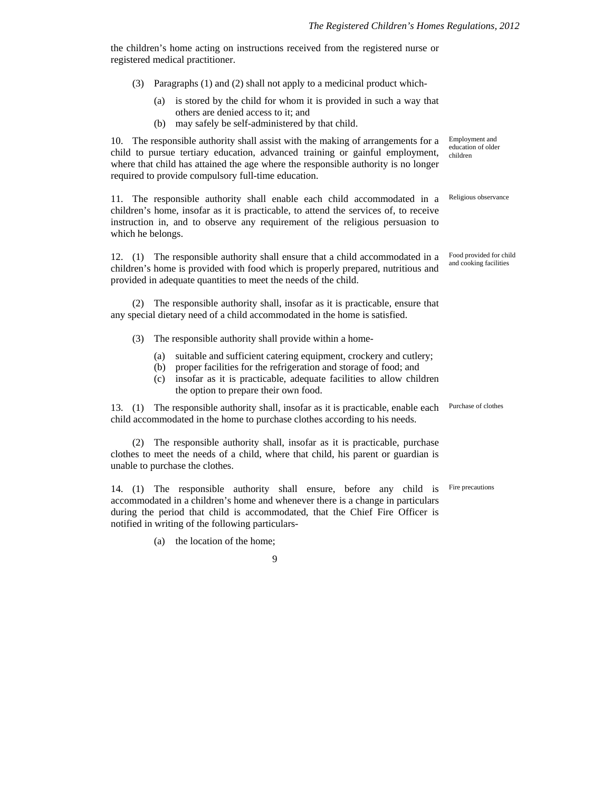the children's home acting on instructions received from the registered nurse or registered medical practitioner.

- (3) Paragraphs (1) and (2) shall not apply to a medicinal product which-
	- (a) is stored by the child for whom it is provided in such a way that others are denied access to it; and
	- (b) may safely be self-administered by that child.

10. The responsible authority shall assist with the making of arrangements for a child to pursue tertiary education, advanced training or gainful employment, where that child has attained the age where the responsible authority is no longer required to provide compulsory full-time education.

11. The responsible authority shall enable each child accommodated in a children's home, insofar as it is practicable, to attend the services of, to receive instruction in, and to observe any requirement of the religious persuasion to which he belongs.

12. (1) The responsible authority shall ensure that a child accommodated in a children's home is provided with food which is properly prepared, nutritious and provided in adequate quantities to meet the needs of the child.

(2) The responsible authority shall, insofar as it is practicable, ensure that any special dietary need of a child accommodated in the home is satisfied.

- (3) The responsible authority shall provide within a home-
	- (a) suitable and sufficient catering equipment, crockery and cutlery;
	- (b) proper facilities for the refrigeration and storage of food; and
	- (c) insofar as it is practicable, adequate facilities to allow children the option to prepare their own food.

13. (1) The responsible authority shall, insofar as it is practicable, enable each child accommodated in the home to purchase clothes according to his needs.

(2) The responsible authority shall, insofar as it is practicable, purchase clothes to meet the needs of a child, where that child, his parent or guardian is unable to purchase the clothes.

14. (1) The responsible authority shall ensure, before any child is accommodated in a children's home and whenever there is a change in particulars during the period that child is accommodated, that the Chief Fire Officer is notified in writing of the following particulars-

(a) the location of the home;

9

Employment and education of older children

Religious observance

Food provided for child and cooking facilities

Purchase of clothes

Fire precautions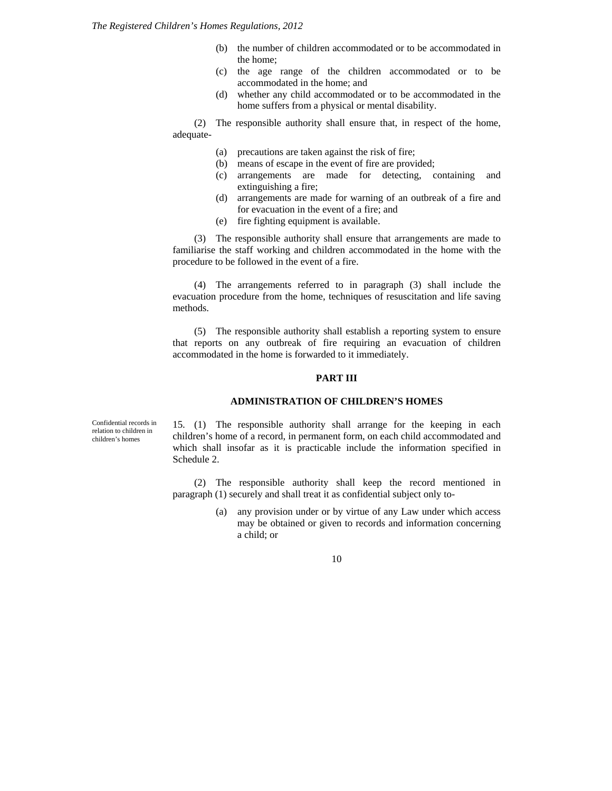- (b) the number of children accommodated or to be accommodated in the home;
- (c) the age range of the children accommodated or to be accommodated in the home; and
- (d) whether any child accommodated or to be accommodated in the home suffers from a physical or mental disability.

(2) The responsible authority shall ensure that, in respect of the home, adequate-

- (a) precautions are taken against the risk of fire;
- (b) means of escape in the event of fire are provided;
- (c) arrangements are made for detecting, containing and extinguishing a fire;
- (d) arrangements are made for warning of an outbreak of a fire and for evacuation in the event of a fire; and
- (e) fire fighting equipment is available.

(3) The responsible authority shall ensure that arrangements are made to familiarise the staff working and children accommodated in the home with the procedure to be followed in the event of a fire.

(4) The arrangements referred to in paragraph (3) shall include the evacuation procedure from the home, techniques of resuscitation and life saving methods.

(5) The responsible authority shall establish a reporting system to ensure that reports on any outbreak of fire requiring an evacuation of children accommodated in the home is forwarded to it immediately.

### **PART III**

### **ADMINISTRATION OF CHILDREN'S HOMES**

Confidential records in relation to children in children's homes

15. (1) The responsible authority shall arrange for the keeping in each children's home of a record, in permanent form, on each child accommodated and which shall insofar as it is practicable include the information specified in Schedule 2.

(2) The responsible authority shall keep the record mentioned in paragraph (1) securely and shall treat it as confidential subject only to-

> (a) any provision under or by virtue of any Law under which access may be obtained or given to records and information concerning a child; or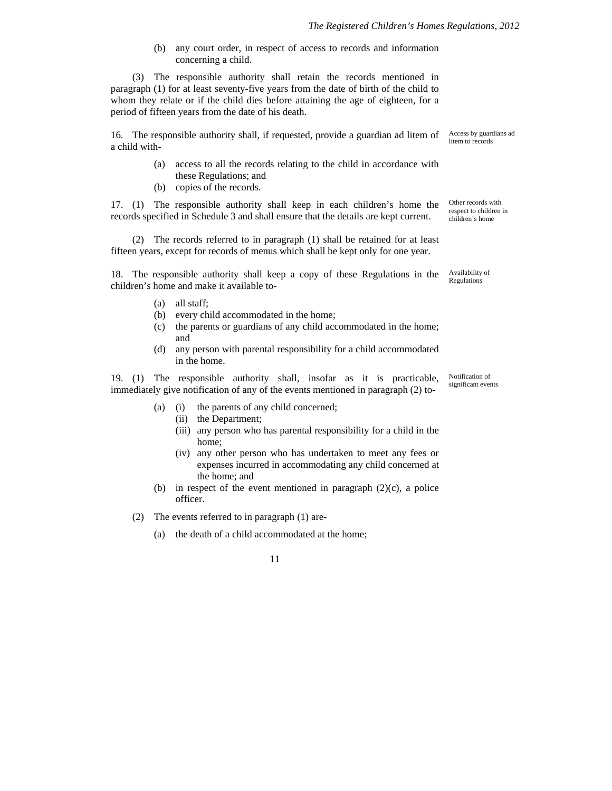(b) any court order, in respect of access to records and information concerning a child.

(3) The responsible authority shall retain the records mentioned in paragraph (1) for at least seventy-five years from the date of birth of the child to whom they relate or if the child dies before attaining the age of eighteen, for a period of fifteen years from the date of his death.

16. The responsible authority shall, if requested, provide a guardian ad litem of a child with-

- (a) access to all the records relating to the child in accordance with these Regulations; and
- (b) copies of the records.

17. (1) The responsible authority shall keep in each children's home the records specified in Schedule 3 and shall ensure that the details are kept current.

(2) The records referred to in paragraph (1) shall be retained for at least fifteen years, except for records of menus which shall be kept only for one year.

18. The responsible authority shall keep a copy of these Regulations in the children's home and make it available to-

- (a) all staff;
- (b) every child accommodated in the home;
- (c) the parents or guardians of any child accommodated in the home; and
- (d) any person with parental responsibility for a child accommodated in the home.

19. (1) The responsible authority shall, insofar as it is practicable, immediately give notification of any of the events mentioned in paragraph (2) to-

- (a) (i) the parents of any child concerned;
	- (ii) the Department;
	- (iii) any person who has parental responsibility for a child in the home;
	- (iv) any other person who has undertaken to meet any fees or expenses incurred in accommodating any child concerned at the home; and
- (b) in respect of the event mentioned in paragraph (2)(c), a police officer.
- (2) The events referred to in paragraph (1) are-
	- (a) the death of a child accommodated at the home;

11

Access by guardians ad litem to records

Other records with respect to children in children's home

Availability of Regulations

Notification of significant events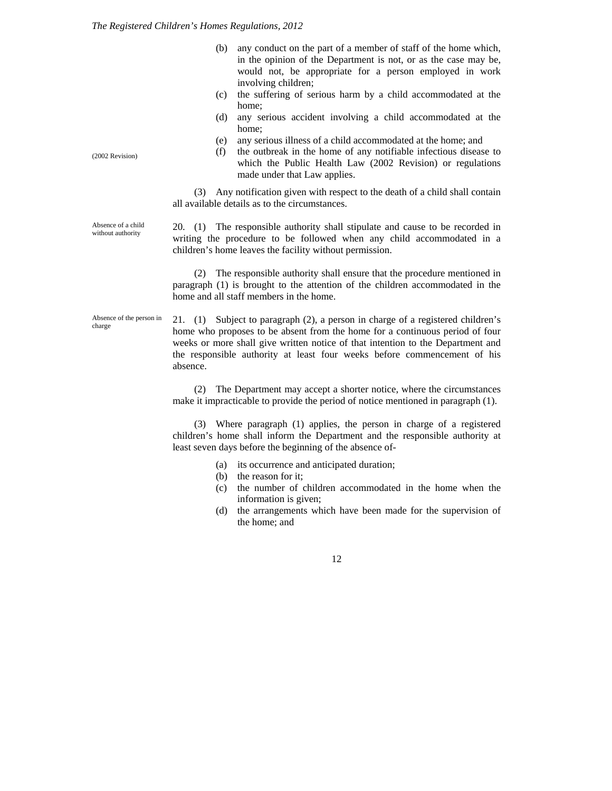- (b) any conduct on the part of a member of staff of the home which, in the opinion of the Department is not, or as the case may be, would not, be appropriate for a person employed in work involving children;
- (c) the suffering of serious harm by a child accommodated at the home;
- (d) any serious accident involving a child accommodated at the home;
- (e) any serious illness of a child accommodated at the home; and
- (f) the outbreak in the home of any notifiable infectious disease to which the Public Health Law (2002 Revision) or regulations made under that Law applies.

(3) Any notification given with respect to the death of a child shall contain all available details as to the circumstances.

20. (1) The responsible authority shall stipulate and cause to be recorded in writing the procedure to be followed when any child accommodated in a children's home leaves the facility without permission.

(2) The responsible authority shall ensure that the procedure mentioned in paragraph (1) is brought to the attention of the children accommodated in the home and all staff members in the home.

Absence of the person in charge

21. (1) Subject to paragraph (2), a person in charge of a registered children's home who proposes to be absent from the home for a continuous period of four weeks or more shall give written notice of that intention to the Department and the responsible authority at least four weeks before commencement of his absence.

(2) The Department may accept a shorter notice, where the circumstances make it impracticable to provide the period of notice mentioned in paragraph (1).

(3) Where paragraph (1) applies, the person in charge of a registered children's home shall inform the Department and the responsible authority at least seven days before the beginning of the absence of-

- (a) its occurrence and anticipated duration;
- (b) the reason for it;
- (c) the number of children accommodated in the home when the information is given;
- (d) the arrangements which have been made for the supervision of the home; and

12

(2002 Revision)

Absence of a child without authority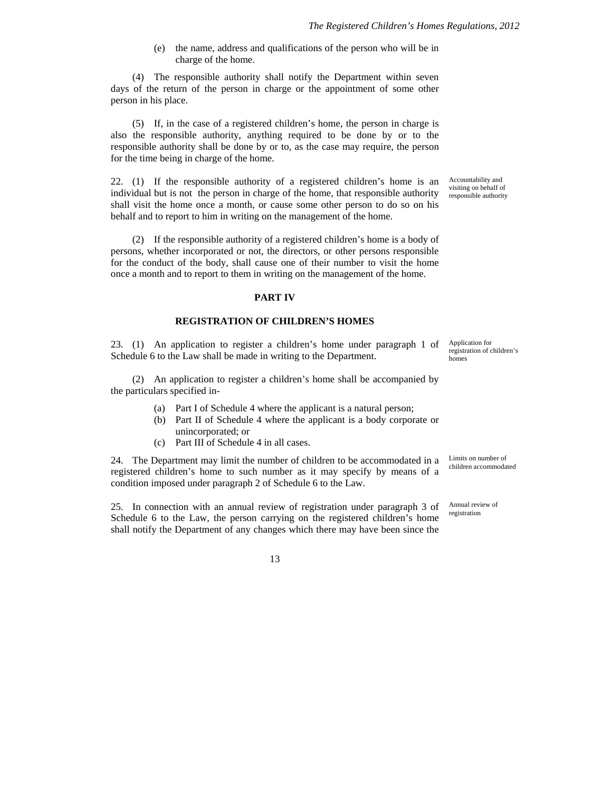(e) the name, address and qualifications of the person who will be in charge of the home.

(4) The responsible authority shall notify the Department within seven days of the return of the person in charge or the appointment of some other person in his place.

(5) If, in the case of a registered children's home, the person in charge is also the responsible authority, anything required to be done by or to the responsible authority shall be done by or to, as the case may require, the person for the time being in charge of the home.

22. (1) If the responsible authority of a registered children's home is an individual but is not the person in charge of the home, that responsible authority shall visit the home once a month, or cause some other person to do so on his behalf and to report to him in writing on the management of the home.

(2) If the responsible authority of a registered children's home is a body of persons, whether incorporated or not, the directors, or other persons responsible for the conduct of the body, shall cause one of their number to visit the home once a month and to report to them in writing on the management of the home.

### **PART IV**

#### **REGISTRATION OF CHILDREN'S HOMES**

23. (1) An application to register a children's home under paragraph 1 of Schedule 6 to the Law shall be made in writing to the Department.

(2) An application to register a children's home shall be accompanied by the particulars specified in-

- (a) Part I of Schedule 4 where the applicant is a natural person;
- (b) Part II of Schedule 4 where the applicant is a body corporate or unincorporated; or
- (c) Part III of Schedule 4 in all cases.

24. The Department may limit the number of children to be accommodated in a registered children's home to such number as it may specify by means of a condition imposed under paragraph 2 of Schedule 6 to the Law.

25. In connection with an annual review of registration under paragraph 3 of Schedule 6 to the Law, the person carrying on the registered children's home shall notify the Department of any changes which there may have been since the

Accountability and visiting on behalf of responsible authority

Application for registration of children's homes

Limits on number of children accommodated

Annual review of registration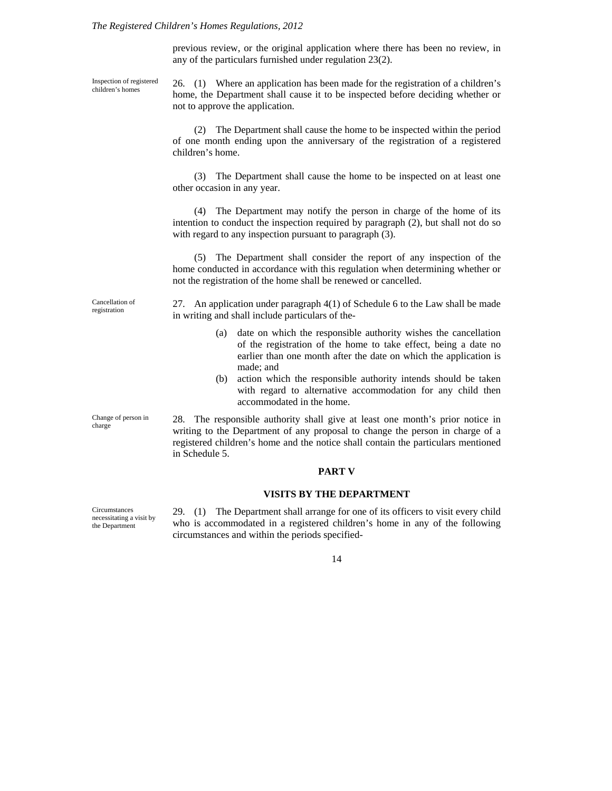#### *The Registered Children's Homes Regulations, 2012*

previous review, or the original application where there has been no review, in any of the particulars furnished under regulation 23(2).

Inspection of registered children's homes

26. (1) Where an application has been made for the registration of a children's home, the Department shall cause it to be inspected before deciding whether or not to approve the application.

(2) The Department shall cause the home to be inspected within the period of one month ending upon the anniversary of the registration of a registered children's home.

(3) The Department shall cause the home to be inspected on at least one other occasion in any year.

(4) The Department may notify the person in charge of the home of its intention to conduct the inspection required by paragraph (2), but shall not do so with regard to any inspection pursuant to paragraph  $(3)$ .

(5) The Department shall consider the report of any inspection of the home conducted in accordance with this regulation when determining whether or not the registration of the home shall be renewed or cancelled.

Cancellation of registration

27. An application under paragraph 4(1) of Schedule 6 to the Law shall be made in writing and shall include particulars of the-

- (a) date on which the responsible authority wishes the cancellation of the registration of the home to take effect, being a date no earlier than one month after the date on which the application is made; and
- (b) action which the responsible authority intends should be taken with regard to alternative accommodation for any child then accommodated in the home.

28. The responsible authority shall give at least one month's prior notice in writing to the Department of any proposal to change the person in charge of a registered children's home and the notice shall contain the particulars mentioned in Schedule 5.

#### **PART V**

### **VISITS BY THE DEPARTMENT**

29. (1) The Department shall arrange for one of its officers to visit every child who is accommodated in a registered children's home in any of the following circumstances and within the periods specified-

14

Circumstances necessitating a visit by the Department

Change of person in

charge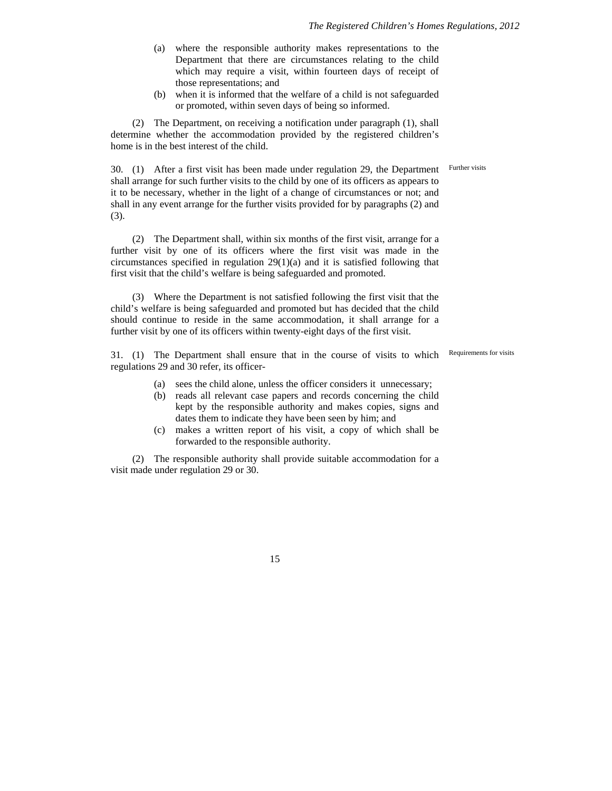- (a) where the responsible authority makes representations to the Department that there are circumstances relating to the child which may require a visit, within fourteen days of receipt of those representations; and
- (b) when it is informed that the welfare of a child is not safeguarded or promoted, within seven days of being so informed.

(2) The Department, on receiving a notification under paragraph (1), shall determine whether the accommodation provided by the registered children's home is in the best interest of the child.

Further visits

Requirements for visits

30. (1) After a first visit has been made under regulation 29, the Department shall arrange for such further visits to the child by one of its officers as appears to it to be necessary, whether in the light of a change of circumstances or not; and shall in any event arrange for the further visits provided for by paragraphs (2) and (3).

(2) The Department shall, within six months of the first visit, arrange for a further visit by one of its officers where the first visit was made in the circumstances specified in regulation 29(1)(a) and it is satisfied following that first visit that the child's welfare is being safeguarded and promoted.

(3) Where the Department is not satisfied following the first visit that the child's welfare is being safeguarded and promoted but has decided that the child should continue to reside in the same accommodation, it shall arrange for a further visit by one of its officers within twenty-eight days of the first visit.

31. (1) The Department shall ensure that in the course of visits to which regulations 29 and 30 refer, its officer-

- (a) sees the child alone, unless the officer considers it unnecessary;
- (b) reads all relevant case papers and records concerning the child kept by the responsible authority and makes copies, signs and dates them to indicate they have been seen by him; and
- (c) makes a written report of his visit, a copy of which shall be forwarded to the responsible authority.

(2) The responsible authority shall provide suitable accommodation for a visit made under regulation 29 or 30.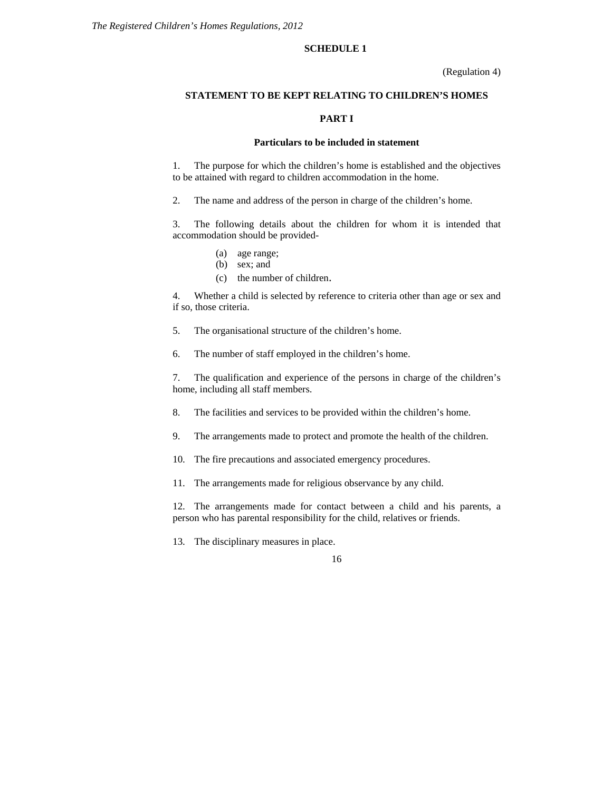# **SCHEDULE 1**

(Regulation 4)

### **STATEMENT TO BE KEPT RELATING TO CHILDREN'S HOMES**

### **PART I**

#### **Particulars to be included in statement**

1. The purpose for which the children's home is established and the objectives to be attained with regard to children accommodation in the home.

2. The name and address of the person in charge of the children's home.

3. The following details about the children for whom it is intended that accommodation should be provided-

- (a) age range;
- (b) sex; and
- (c) the number of children.

4. Whether a child is selected by reference to criteria other than age or sex and if so, those criteria.

5. The organisational structure of the children's home.

6. The number of staff employed in the children's home.

7. The qualification and experience of the persons in charge of the children's home, including all staff members.

- 8. The facilities and services to be provided within the children's home.
- 9. The arrangements made to protect and promote the health of the children.
- 10. The fire precautions and associated emergency procedures.
- 11. The arrangements made for religious observance by any child.

12. The arrangements made for contact between a child and his parents, a person who has parental responsibility for the child, relatives or friends.

13. The disciplinary measures in place.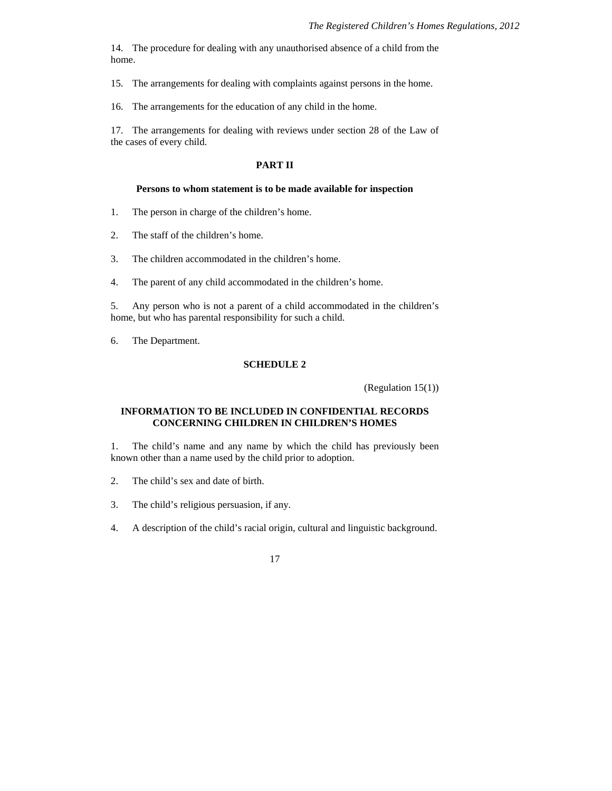14. The procedure for dealing with any unauthorised absence of a child from the home.

15. The arrangements for dealing with complaints against persons in the home.

16. The arrangements for the education of any child in the home.

17. The arrangements for dealing with reviews under section 28 of the Law of the cases of every child.

## **PART II**

### **Persons to whom statement is to be made available for inspection**

- 1. The person in charge of the children's home.
- 2. The staff of the children's home.
- 3. The children accommodated in the children's home.
- 4. The parent of any child accommodated in the children's home.

5. Any person who is not a parent of a child accommodated in the children's home, but who has parental responsibility for such a child.

6. The Department.

## **SCHEDULE 2**

(Regulation 15(1))

### **INFORMATION TO BE INCLUDED IN CONFIDENTIAL RECORDS CONCERNING CHILDREN IN CHILDREN'S HOMES**

1. The child's name and any name by which the child has previously been known other than a name used by the child prior to adoption.

2. The child's sex and date of birth.

- 3. The child's religious persuasion, if any.
- 4. A description of the child's racial origin, cultural and linguistic background.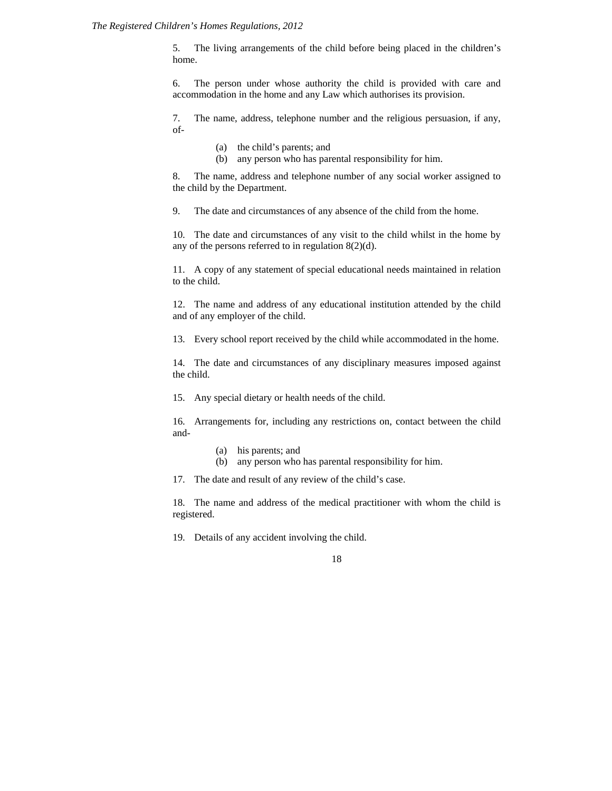5. The living arrangements of the child before being placed in the children's home.

6. The person under whose authority the child is provided with care and accommodation in the home and any Law which authorises its provision.

7. The name, address, telephone number and the religious persuasion, if any, of-

- (a) the child's parents; and
- (b) any person who has parental responsibility for him.

8. The name, address and telephone number of any social worker assigned to the child by the Department.

9. The date and circumstances of any absence of the child from the home.

10. The date and circumstances of any visit to the child whilst in the home by any of the persons referred to in regulation 8(2)(d).

11. A copy of any statement of special educational needs maintained in relation to the child.

12. The name and address of any educational institution attended by the child and of any employer of the child.

13. Every school report received by the child while accommodated in the home.

14. The date and circumstances of any disciplinary measures imposed against the child.

15. Any special dietary or health needs of the child.

16. Arrangements for, including any restrictions on, contact between the child and-

- (a) his parents; and
- (b) any person who has parental responsibility for him.
- 17. The date and result of any review of the child's case.

18. The name and address of the medical practitioner with whom the child is registered.

19. Details of any accident involving the child.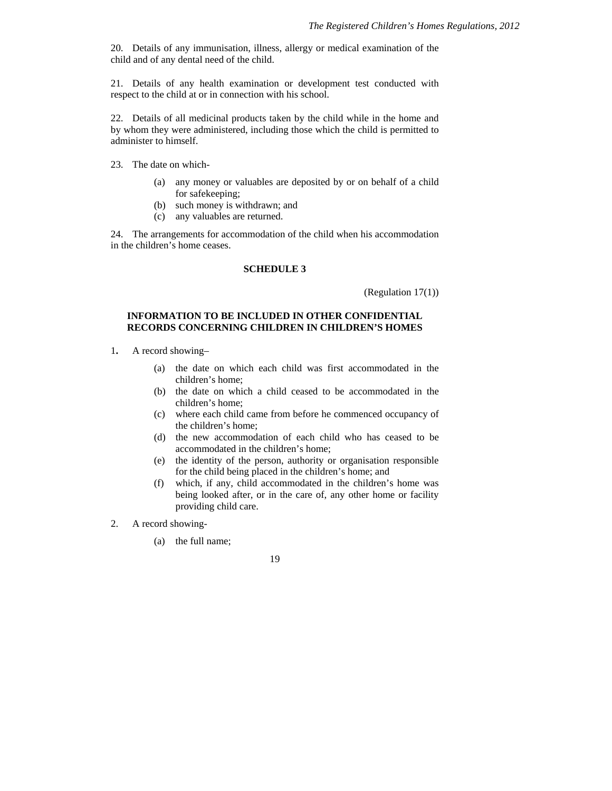20. Details of any immunisation, illness, allergy or medical examination of the child and of any dental need of the child.

21. Details of any health examination or development test conducted with respect to the child at or in connection with his school.

22. Details of all medicinal products taken by the child while in the home and by whom they were administered, including those which the child is permitted to administer to himself.

- 23. The date on which-
	- (a) any money or valuables are deposited by or on behalf of a child for safekeeping;
	- (b) such money is withdrawn; and
	- (c) any valuables are returned.

24. The arrangements for accommodation of the child when his accommodation in the children's home ceases.

## **SCHEDULE 3**

(Regulation 17(1))

### **INFORMATION TO BE INCLUDED IN OTHER CONFIDENTIAL RECORDS CONCERNING CHILDREN IN CHILDREN'S HOMES**

- 1**.** A record showing–
	- (a) the date on which each child was first accommodated in the children's home;
	- (b) the date on which a child ceased to be accommodated in the children's home;
	- (c) where each child came from before he commenced occupancy of the children's home;
	- (d) the new accommodation of each child who has ceased to be accommodated in the children's home;
	- (e) the identity of the person, authority or organisation responsible for the child being placed in the children's home; and
	- (f) which, if any, child accommodated in the children's home was being looked after, or in the care of, any other home or facility providing child care.
- 2. A record showing-
	- (a) the full name;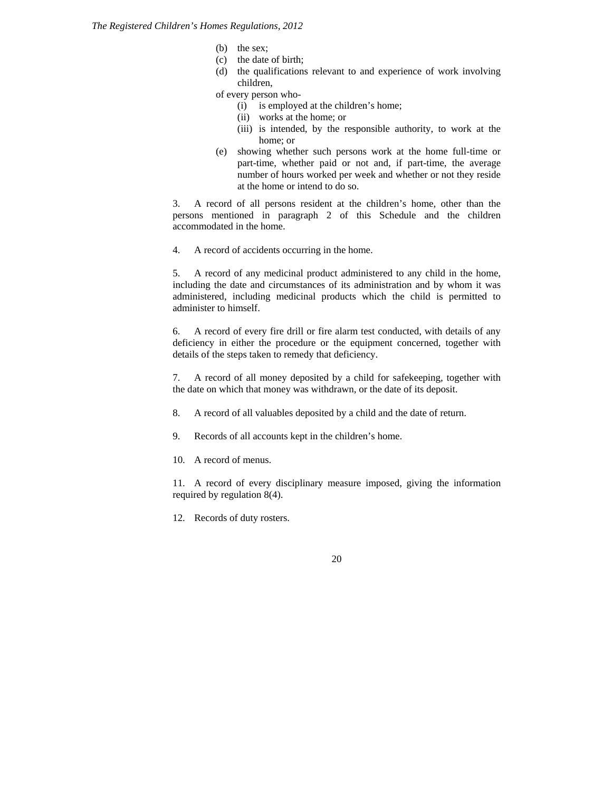- (b) the sex;
- (c) the date of birth;
- (d) the qualifications relevant to and experience of work involving children,

of every person who-

- (i) is employed at the children's home;
- (ii) works at the home; or
- (iii) is intended, by the responsible authority, to work at the home; or
- (e) showing whether such persons work at the home full-time or part-time, whether paid or not and, if part-time, the average number of hours worked per week and whether or not they reside at the home or intend to do so.

3. A record of all persons resident at the children's home, other than the persons mentioned in paragraph 2 of this Schedule and the children accommodated in the home.

4. A record of accidents occurring in the home.

5. A record of any medicinal product administered to any child in the home, including the date and circumstances of its administration and by whom it was administered, including medicinal products which the child is permitted to administer to himself.

6. A record of every fire drill or fire alarm test conducted, with details of any deficiency in either the procedure or the equipment concerned, together with details of the steps taken to remedy that deficiency.

7. A record of all money deposited by a child for safekeeping, together with the date on which that money was withdrawn, or the date of its deposit.

8. A record of all valuables deposited by a child and the date of return.

- 9. Records of all accounts kept in the children's home.
- 10. A record of menus.

11. A record of every disciplinary measure imposed, giving the information required by regulation 8(4).

12. Records of duty rosters.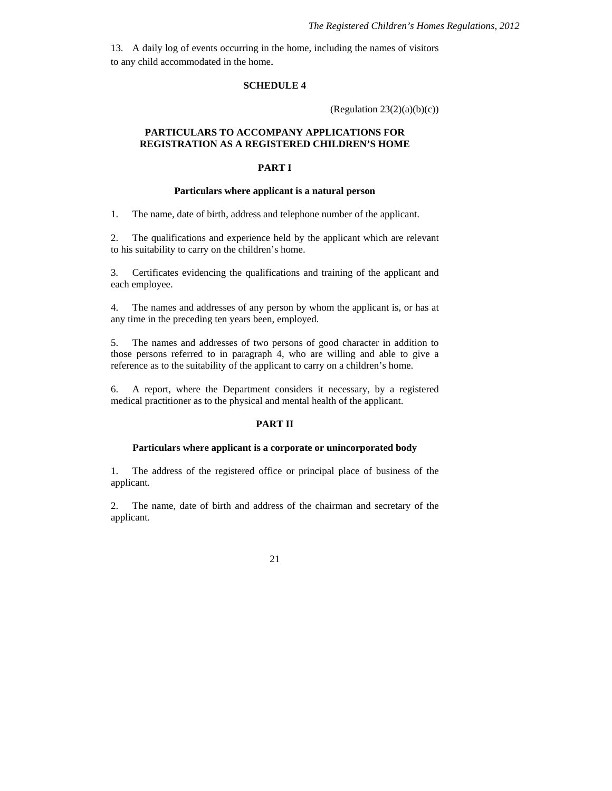13. A daily log of events occurring in the home, including the names of visitors to any child accommodated in the home.

### **SCHEDULE 4**

(Regulation  $23(2)(a)(b)(c)$ )

# **PARTICULARS TO ACCOMPANY APPLICATIONS FOR REGISTRATION AS A REGISTERED CHILDREN'S HOME**

## **PART I**

### **Particulars where applicant is a natural person**

1. The name, date of birth, address and telephone number of the applicant.

2. The qualifications and experience held by the applicant which are relevant to his suitability to carry on the children's home.

3. Certificates evidencing the qualifications and training of the applicant and each employee.

4. The names and addresses of any person by whom the applicant is, or has at any time in the preceding ten years been, employed.

5. The names and addresses of two persons of good character in addition to those persons referred to in paragraph 4, who are willing and able to give a reference as to the suitability of the applicant to carry on a children's home.

6. A report, where the Department considers it necessary, by a registered medical practitioner as to the physical and mental health of the applicant.

### **PART II**

#### **Particulars where applicant is a corporate or unincorporated body**

1. The address of the registered office or principal place of business of the applicant.

2. The name, date of birth and address of the chairman and secretary of the applicant.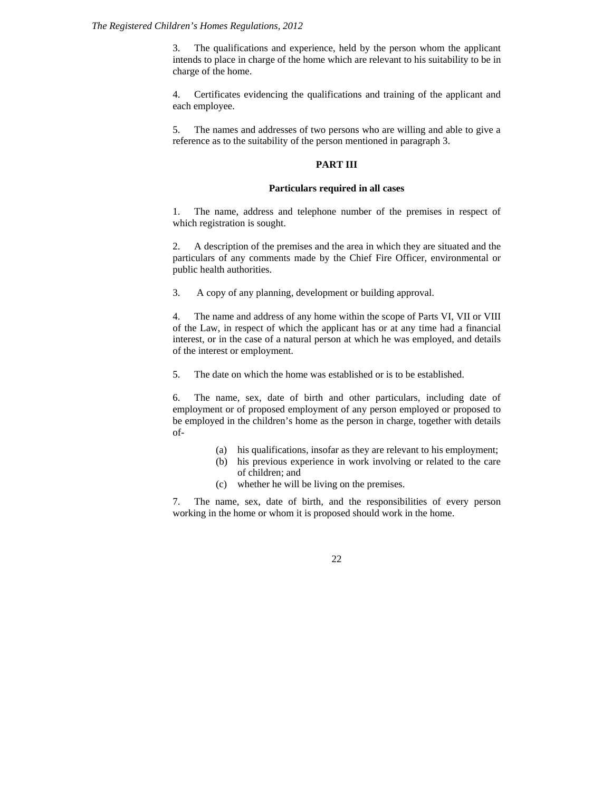3. The qualifications and experience, held by the person whom the applicant intends to place in charge of the home which are relevant to his suitability to be in charge of the home.

4. Certificates evidencing the qualifications and training of the applicant and each employee.

5. The names and addresses of two persons who are willing and able to give a reference as to the suitability of the person mentioned in paragraph 3.

### **PART III**

#### **Particulars required in all cases**

1. The name, address and telephone number of the premises in respect of which registration is sought.

2. A description of the premises and the area in which they are situated and the particulars of any comments made by the Chief Fire Officer, environmental or public health authorities.

3. A copy of any planning, development or building approval.

4. The name and address of any home within the scope of Parts VI, VII or VIII of the Law, in respect of which the applicant has or at any time had a financial interest, or in the case of a natural person at which he was employed, and details of the interest or employment.

5. The date on which the home was established or is to be established.

6. The name, sex, date of birth and other particulars, including date of employment or of proposed employment of any person employed or proposed to be employed in the children's home as the person in charge, together with details of-

- (a) his qualifications, insofar as they are relevant to his employment;
- (b) his previous experience in work involving or related to the care of children; and
- (c) whether he will be living on the premises.

7. The name, sex, date of birth, and the responsibilities of every person working in the home or whom it is proposed should work in the home.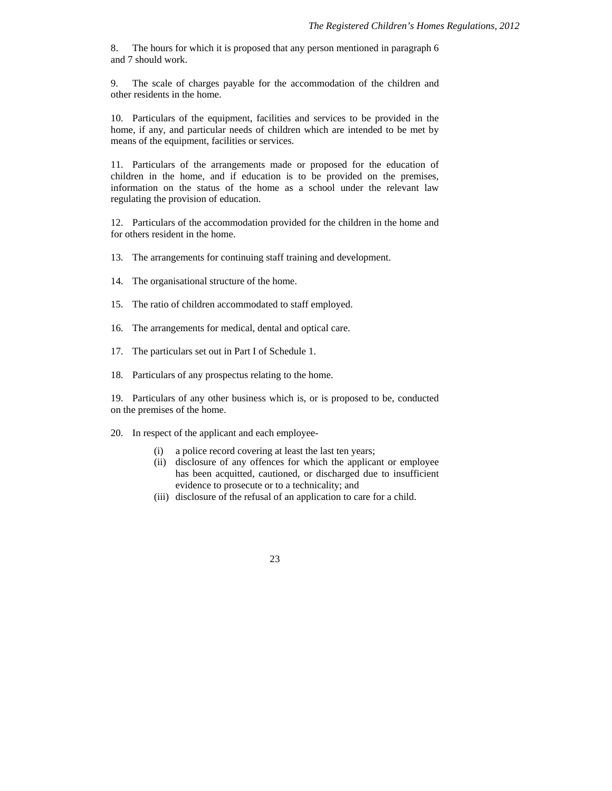8. The hours for which it is proposed that any person mentioned in paragraph 6 and 7 should work.

9. The scale of charges payable for the accommodation of the children and other residents in the home.

10. Particulars of the equipment, facilities and services to be provided in the home, if any, and particular needs of children which are intended to be met by means of the equipment, facilities or services.

11. Particulars of the arrangements made or proposed for the education of children in the home, and if education is to be provided on the premises, information on the status of the home as a school under the relevant law regulating the provision of education.

12. Particulars of the accommodation provided for the children in the home and for others resident in the home.

13. The arrangements for continuing staff training and development.

- 14. The organisational structure of the home.
- 15. The ratio of children accommodated to staff employed.
- 16. The arrangements for medical, dental and optical care.
- 17. The particulars set out in Part I of Schedule 1.
- 18. Particulars of any prospectus relating to the home.

19. Particulars of any other business which is, or is proposed to be, conducted on the premises of the home.

- 20. In respect of the applicant and each employee-
	- (i) a police record covering at least the last ten years;
	- (ii) disclosure of any offences for which the applicant or employee has been acquitted, cautioned, or discharged due to insufficient evidence to prosecute or to a technicality; and
	- (iii) disclosure of the refusal of an application to care for a child.